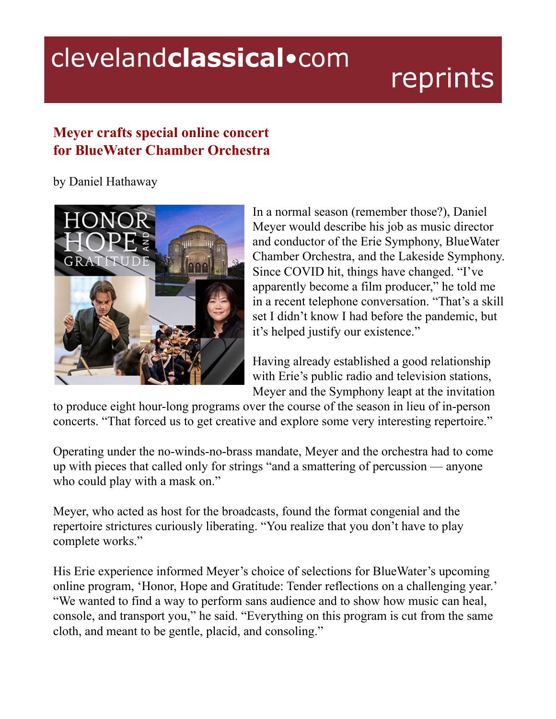## clevelandclassical.com

## reprints

## **Meyer crafts special online concert for BlueWater Chamber Orchestra**

by Daniel Hathaway



In a normal season (remember those?), Daniel Meyer would describe his job as music director and conductor of the Erie Symphony, BlueWater Chamber Orchestra, and the Lakeside Symphony. Since COVID hit, things have changed. "I've apparently become a film producer," he told me in a recent telephone conversation. "That's a skill set I didn't know I had before the pandemic, but it's helped justify our existence."

Having already established a good relationship with Erie's public radio and television stations, Meyer and the Symphony leapt at the invitation

to produce eight hour-long programs over the course of the season in lieu of in-person concerts. "That forced us to get creative and explore some very interesting repertoire."

Operating under the no-winds-no-brass mandate, Meyer and the orchestra had to come up with pieces that called only for strings "and a smattering of percussion — anyone who could play with a mask on."

Meyer, who acted as host for the broadcasts, found the format congenial and the repertoire strictures curiously liberating. "You realize that you don't have to play complete works."

His Erie experience informed Meyer's choice of selections for BlueWater's upcoming online program, 'Honor, Hope and Gratitude: Tender reflections on a challenging year.' "We wanted to find a way to perform sans audience and to show how music can heal, console, and transport you," he said. "Everything on this program is cut from the same cloth, and meant to be gentle, placid, and consoling."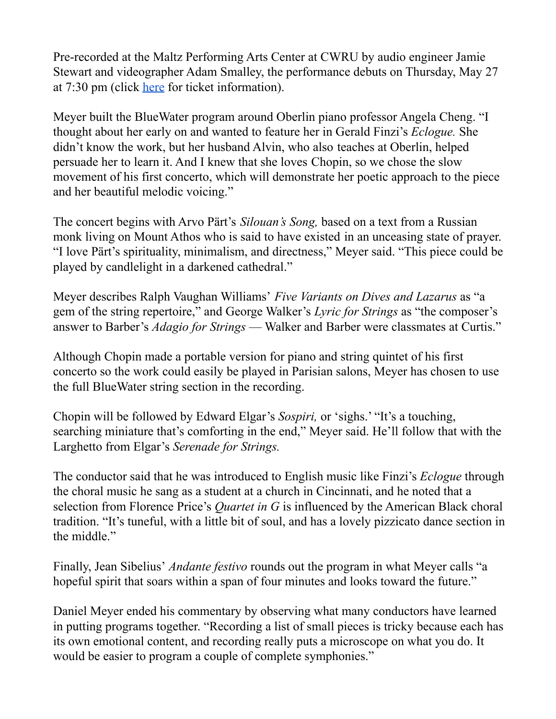Pre-recorded at the Maltz Performing Arts Center at CWRU by audio engineer Jamie Stewart and videographer Adam Smalley, the performance debuts on Thursday, May 27 at 7:30 pm (click [here](https://ourconcerts.live/honor-hope-gratitude) for ticket information).

Meyer built the BlueWater program around Oberlin piano professor Angela Cheng. "I thought about her early on and wanted to feature her in Gerald Finzi's *Eclogue.* She didn't know the work, but her husband Alvin, who also teaches at Oberlin, helped persuade her to learn it. And I knew that she loves Chopin, so we chose the slow movement of his first concerto, which will demonstrate her poetic approach to the piece and her beautiful melodic voicing."

The concert begins with Arvo Pärt's *Silouan's Song,* based on a text from a Russian monk living on Mount Athos who is said to have existed in an unceasing state of prayer. "I love Pärt's spirituality, minimalism, and directness," Meyer said. "This piece could be played by candlelight in a darkened cathedral."

Meyer describes Ralph Vaughan Williams' *Five Variants on Dives and Lazarus* as "a gem of the string repertoire," and George Walker's *Lyric for Strings* as "the composer's answer to Barber's *Adagio for Strings* — Walker and Barber were classmates at Curtis."

Although Chopin made a portable version for piano and string quintet of his first concerto so the work could easily be played in Parisian salons, Meyer has chosen to use the full BlueWater string section in the recording.

Chopin will be followed by Edward Elgar's *Sospiri,* or 'sighs.' "It's a touching, searching miniature that's comforting in the end," Meyer said. He'll follow that with the Larghetto from Elgar's *Serenade for Strings.*

The conductor said that he was introduced to English music like Finzi's *Eclogue* through the choral music he sang as a student at a church in Cincinnati, and he noted that a selection from Florence Price's *Quartet in G* is influenced by the American Black choral tradition. "It's tuneful, with a little bit of soul, and has a lovely pizzicato dance section in the middle."

Finally, Jean Sibelius' *Andante festivo* rounds out the program in what Meyer calls "a hopeful spirit that soars within a span of four minutes and looks toward the future."

Daniel Meyer ended his commentary by observing what many conductors have learned in putting programs together. "Recording a list of small pieces is tricky because each has its own emotional content, and recording really puts a microscope on what you do. It would be easier to program a couple of complete symphonies."